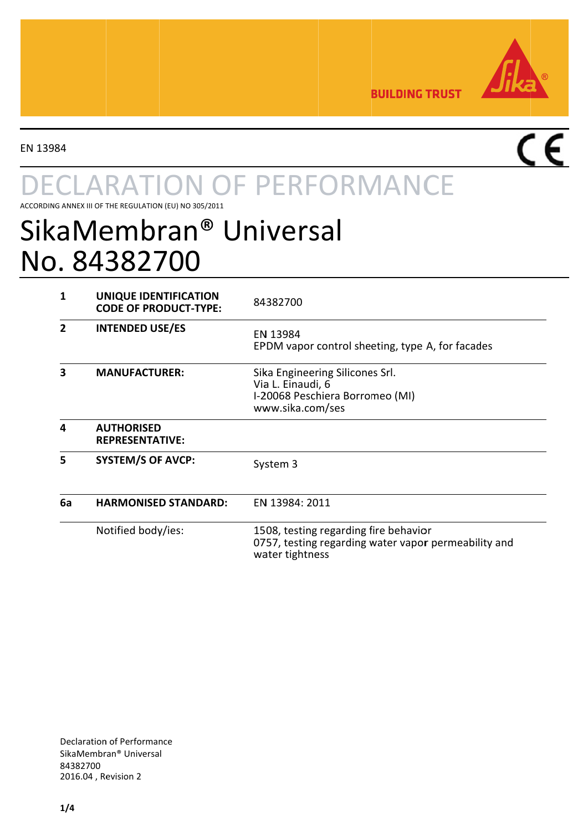

**BUILDING TRUST** 

EN 13984

# **ARATION OF PERFORMANCE**

ACCORDING ANNEX III OF THE REGULATION (EU) NO 305/2011

## SikaMembran® Universal No. 84382700

| 1  | UNIQUE IDENTIFICATION<br><b>CODE OF PRODUCT-TYPE:</b> | 84382700                                                                                                         |
|----|-------------------------------------------------------|------------------------------------------------------------------------------------------------------------------|
| 2  | <b>INTENDED USE/ES</b>                                | EN 13984<br>EPDM vapor control sheeting, type A, for facades                                                     |
| 3  | <b>MANUFACTURER:</b>                                  | Sika Engineering Silicones Srl.<br>Via L. Einaudi, 6<br>I-20068 Peschiera Borromeo (MI)<br>www.sika.com/ses      |
| 4  | <b>AUTHORISED</b><br><b>REPRESENTATIVE:</b>           |                                                                                                                  |
| 5  | <b>SYSTEM/S OF AVCP:</b>                              | System 3                                                                                                         |
| 6a | <b>HARMONISED STANDARD:</b>                           | EN 13984: 2011                                                                                                   |
|    | Notified body/ies:                                    | 1508, testing regarding fire behavior<br>0757, testing regarding water vapor permeability and<br>water tightness |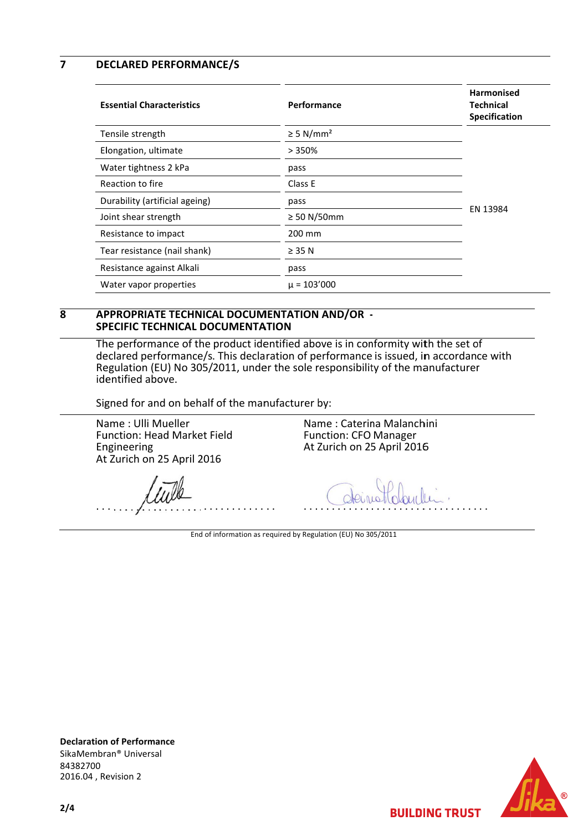$\overline{\mathbf{z}}$ **DECLARED PERFORMANCE/S** 

| <b>Essential Characteristics</b> | Performance                | <b>Harmonised</b><br><b>Technical</b><br>Specification |
|----------------------------------|----------------------------|--------------------------------------------------------|
| Tensile strength                 | $\geq$ 5 N/mm <sup>2</sup> |                                                        |
| Elongation, ultimate             | >350%                      |                                                        |
| Water tightness 2 kPa            | pass                       |                                                        |
| Reaction to fire                 | Class E                    |                                                        |
| Durability (artificial ageing)   | pass                       |                                                        |
| Joint shear strength             | $\geq$ 50 N/50mm           | EN 13984                                               |
| Resistance to impact             | 200 mm                     |                                                        |
| Tear resistance (nail shank)     | $\geq$ 35 N                |                                                        |
| Resistance against Alkali        | pass                       |                                                        |
| Water vapor properties           | $\mu = 103'000$            |                                                        |

### $\overline{\mathbf{R}}$ APPROPRIATE TECHNICAL DOCUMENTATION AND/OR -**SPECIFIC TECHNICAL DOCUMENTATION**

The performance of the product identified above is in conformity with the set of declared performance/s. This declaration of performance is issued, in accordance with Regulation (EU) No 305/2011, under the sole responsibility of the manufacturer identified above.

Signed for and on behalf of the manufacturer by:

Name: Ulli Mueller Function: Head Market Field Engineering At Zurich on 25 April 2016

Name: Caterina Malanchini **Function: CFO Manager** At Zurich on 25 April 2016

End of information as required by Regulation (EU) No 305/2011





**BUILDING TRUST** 

 $2/4$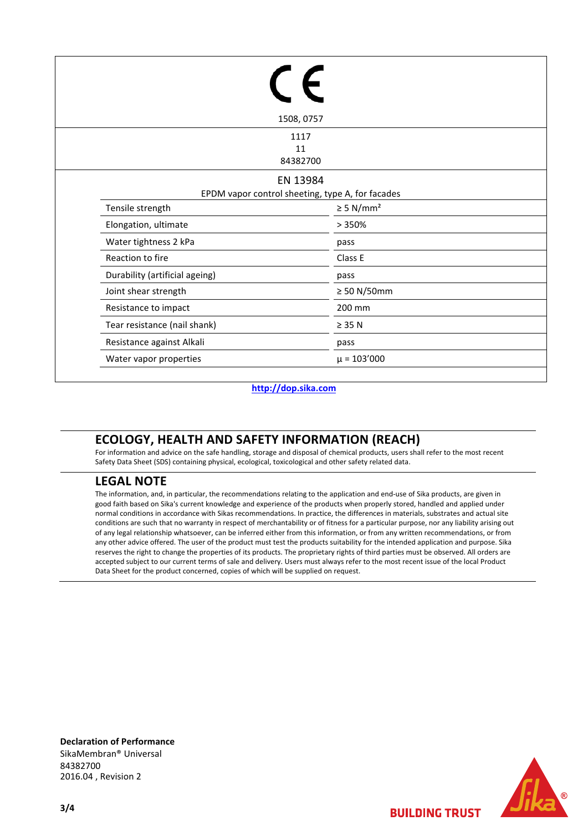|                                                              | 1508, 0757                 |  |  |
|--------------------------------------------------------------|----------------------------|--|--|
|                                                              | 1117<br>11<br>84382700     |  |  |
| EN 13984<br>EPDM vapor control sheeting, type A, for facades |                            |  |  |
| Tensile strength                                             | $\geq$ 5 N/mm <sup>2</sup> |  |  |
| Elongation, ultimate                                         | >350%                      |  |  |
| Water tightness 2 kPa                                        | pass                       |  |  |
| Reaction to fire                                             | Class E                    |  |  |
| Durability (artificial ageing)                               | pass                       |  |  |
| Joint shear strength                                         | $\geq 50$ N/50mm           |  |  |
| Resistance to impact                                         | 200 mm                     |  |  |
| Tear resistance (nail shank)                                 | $\geq$ 35 N                |  |  |
| Resistance against Alkali                                    | pass                       |  |  |
| Water vapor properties                                       | $\mu = 103'000$            |  |  |

### **http://dop.sika.com**

## **ECOLOGY, HEALTH AND SAFETY INFORMATION (REACH)**

For information and advice on the safe handling, storage and disposal of chemical products, users shall refer to the most recent Safety Data Sheet (SDS) containing physical, ecological, toxicological and other safety related data.

## **LEGAL NOTE**

The information, and, in particular, the recommendations relating to the application and end-use of Sika products, are given in good faith based on Sika's current knowledge and experience of the products when properly stored, handled and applied under normal conditions in accordance with Sikas recommendations. In practice, the differences in materials, substrates and actual site conditions are such that no warranty in respect of merchantability or of fitness for a particular purpose, nor any liability arising out of any legal relationship whatsoever, can be inferred either from this information, or from any written recommendations, or from any other advice offered. The user of the product must test the products suitability for the intended application and purpose. Sika reserves the right to change the properties of its products. The proprietary rights of third parties must be observed. All orders are accepted subject to our current terms of sale and delivery. Users must always refer to the most recent issue of the local Product Data Sheet for the product concerned, copies of which will be supplied on request.

**Declaration of Performance** SikaMembran® Universal 84382700 2016.04 , Revision 2